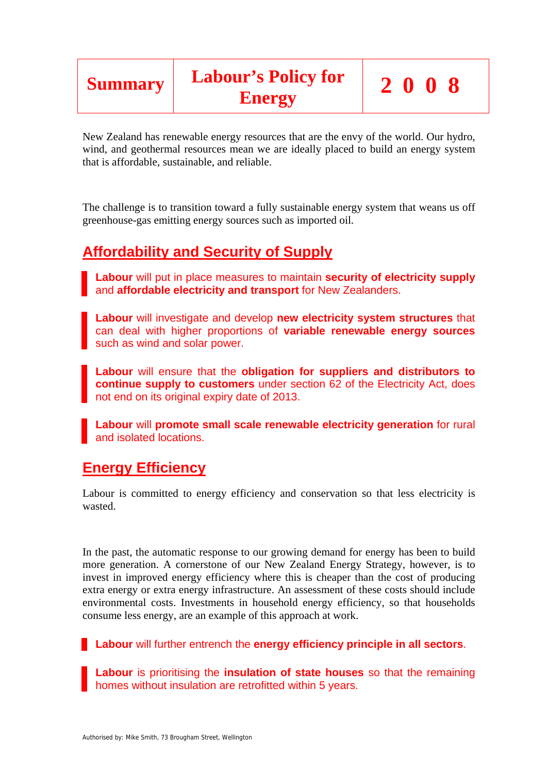

New Zealand has renewable energy resources that are the envy of the world. Our hydro, wind, and geothermal resources mean we are ideally placed to build an energy system that is affordable, sustainable, and reliable.

The challenge is to transition toward a fully sustainable energy system that weans us off greenhouse-gas emitting energy sources such as imported oil.

## **Affordability and Security of Supply**

**Labour** will put in place measures to maintain **security of electricity supply**  and **affordable electricity and transport** for New Zealanders.

**Labour** will investigate and develop **new electricity system structures** that can deal with higher proportions of **variable renewable energy sources** such as wind and solar power.

**Labour** will ensure that the **obligation for suppliers and distributors to continue supply to customers** under section 62 of the Electricity Act, does not end on its original expiry date of 2013.

**Labour** will **promote small scale renewable electricity generation** for rural and isolated locations.

## **Energy Efficiency**

Labour is committed to energy efficiency and conservation so that less electricity is wasted.

In the past, the automatic response to our growing demand for energy has been to build more generation. A cornerstone of our New Zealand Energy Strategy, however, is to invest in improved energy efficiency where this is cheaper than the cost of producing extra energy or extra energy infrastructure. An assessment of these costs should include environmental costs. Investments in household energy efficiency, so that households consume less energy, are an example of this approach at work.

**Labour** will further entrench the **energy efficiency principle in all sectors**.

**Labour** is prioritising the **insulation of state houses** so that the remaining homes without insulation are retrofitted within 5 years.